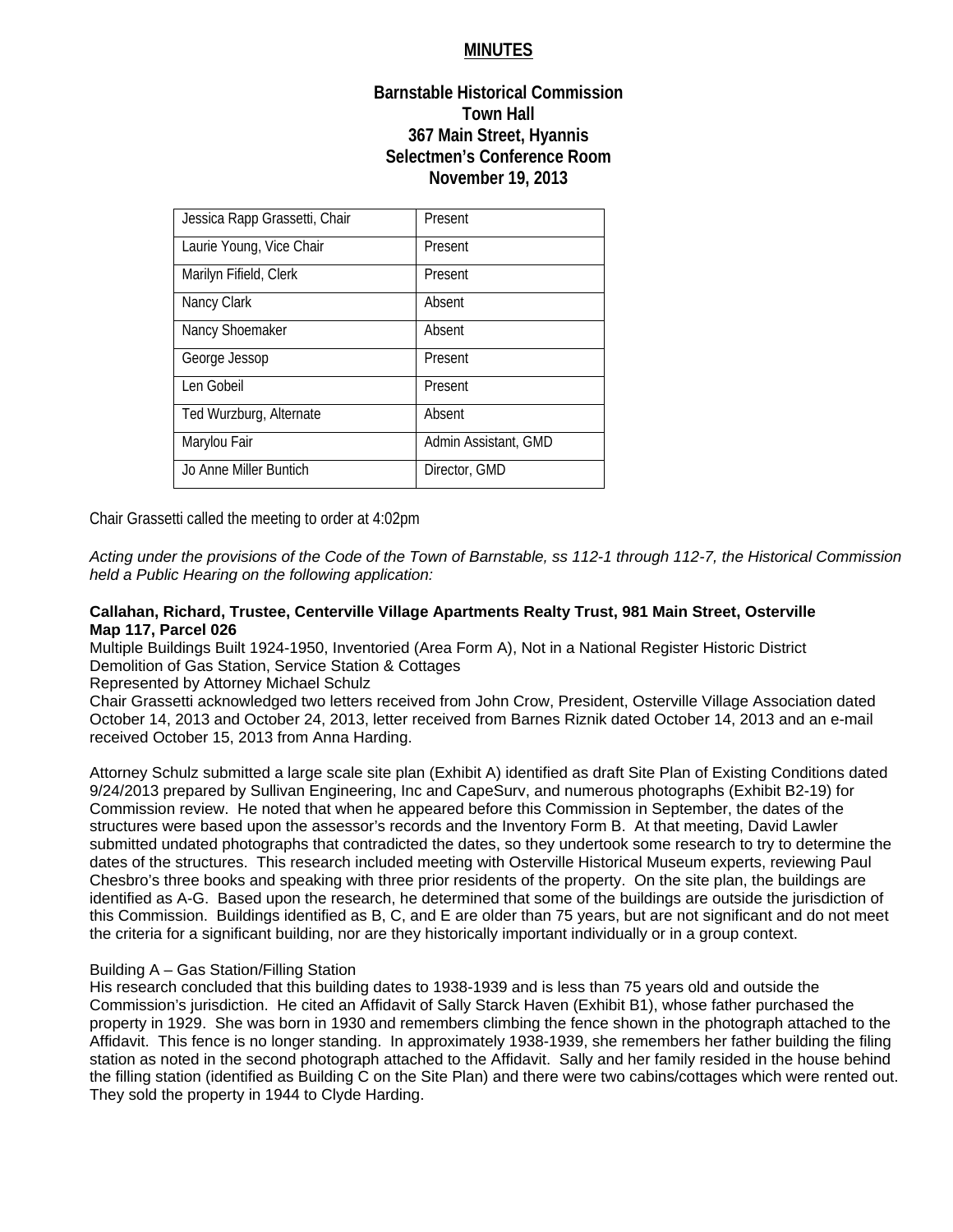# **MINUTES**

# **Barnstable Historical Commission Town Hall 367 Main Street, Hyannis Selectmen's Conference Room November 19, 2013**

| Jessica Rapp Grassetti, Chair | Present              |
|-------------------------------|----------------------|
| Laurie Young, Vice Chair      | Present              |
| Marilyn Fifield, Clerk        | Present              |
| Nancy Clark                   | Absent               |
| Nancy Shoemaker               | Absent               |
| George Jessop                 | Present              |
| Len Gobeil                    | Present              |
| Ted Wurzburg, Alternate       | Absent               |
| Marylou Fair                  | Admin Assistant, GMD |
| Jo Anne Miller Buntich        | Director, GMD        |

Chair Grassetti called the meeting to order at 4:02pm

*Acting under the provisions of the Code of the Town of Barnstable, ss 112-1 through 112-7, the Historical Commission held a Public Hearing on the following application:* 

## **Callahan, Richard, Trustee, Centerville Village Apartments Realty Trust, 981 Main Street, Osterville Map 117, Parcel 026**

Multiple Buildings Built 1924-1950, Inventoried (Area Form A), Not in a National Register Historic District Demolition of Gas Station, Service Station & Cottages

Represented by Attorney Michael Schulz

Chair Grassetti acknowledged two letters received from John Crow, President, Osterville Village Association dated October 14, 2013 and October 24, 2013, letter received from Barnes Riznik dated October 14, 2013 and an e-mail received October 15, 2013 from Anna Harding.

Attorney Schulz submitted a large scale site plan (Exhibit A) identified as draft Site Plan of Existing Conditions dated 9/24/2013 prepared by Sullivan Engineering, Inc and CapeSurv, and numerous photographs (Exhibit B2-19) for Commission review. He noted that when he appeared before this Commission in September, the dates of the structures were based upon the assessor's records and the Inventory Form B. At that meeting, David Lawler submitted undated photographs that contradicted the dates, so they undertook some research to try to determine the dates of the structures. This research included meeting with Osterville Historical Museum experts, reviewing Paul Chesbro's three books and speaking with three prior residents of the property. On the site plan, the buildings are identified as A-G. Based upon the research, he determined that some of the buildings are outside the jurisdiction of this Commission. Buildings identified as B, C, and E are older than 75 years, but are not significant and do not meet the criteria for a significant building, nor are they historically important individually or in a group context.

# Building A – Gas Station/Filling Station

His research concluded that this building dates to 1938-1939 and is less than 75 years old and outside the Commission's jurisdiction. He cited an Affidavit of Sally Starck Haven (Exhibit B1), whose father purchased the property in 1929. She was born in 1930 and remembers climbing the fence shown in the photograph attached to the Affidavit. This fence is no longer standing. In approximately 1938-1939, she remembers her father building the filing station as noted in the second photograph attached to the Affidavit. Sally and her family resided in the house behind the filling station (identified as Building C on the Site Plan) and there were two cabins/cottages which were rented out. They sold the property in 1944 to Clyde Harding.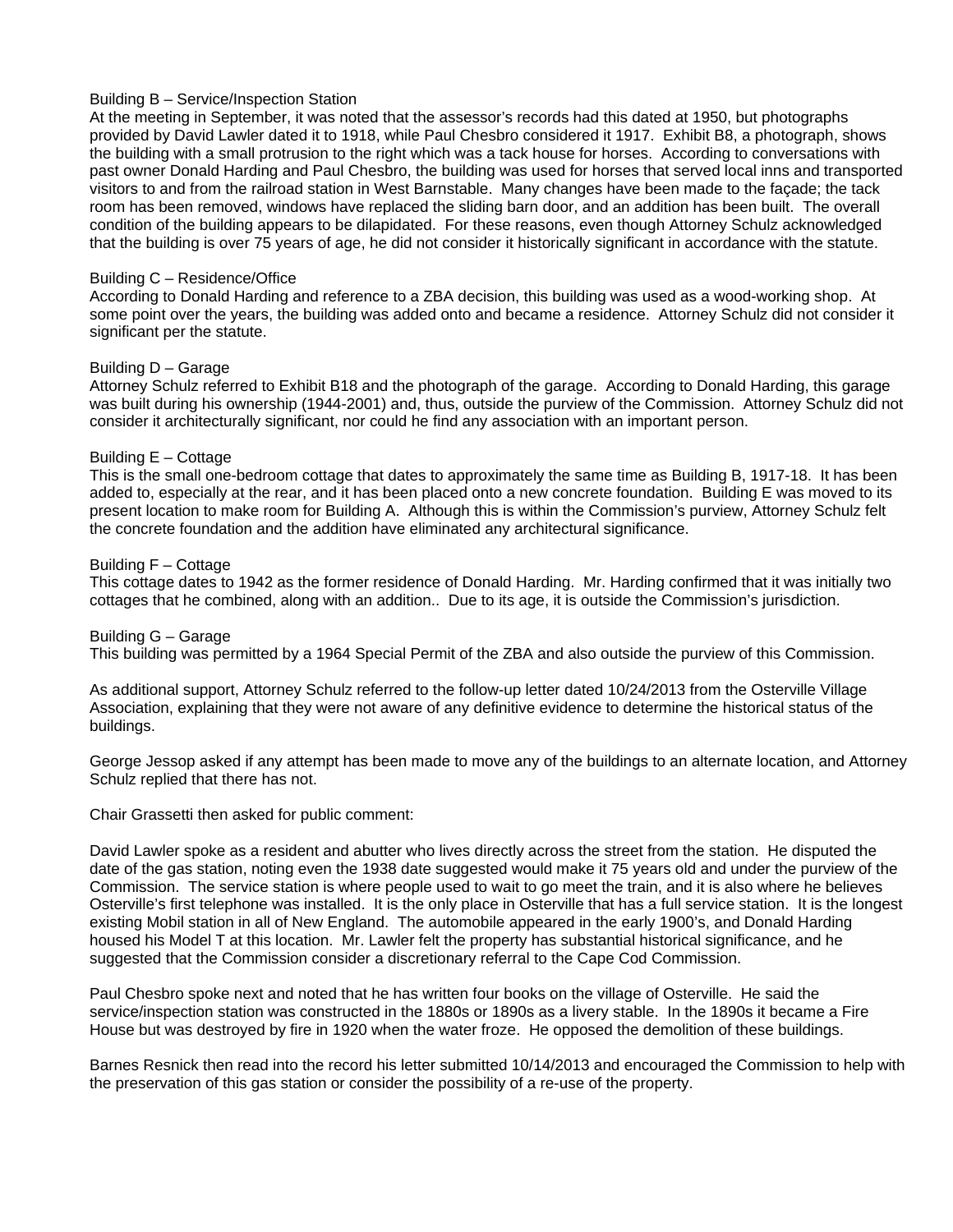## Building B – Service/Inspection Station

At the meeting in September, it was noted that the assessor's records had this dated at 1950, but photographs provided by David Lawler dated it to 1918, while Paul Chesbro considered it 1917. Exhibit B8, a photograph, shows the building with a small protrusion to the right which was a tack house for horses. According to conversations with past owner Donald Harding and Paul Chesbro, the building was used for horses that served local inns and transported visitors to and from the railroad station in West Barnstable. Many changes have been made to the façade; the tack room has been removed, windows have replaced the sliding barn door, and an addition has been built. The overall condition of the building appears to be dilapidated. For these reasons, even though Attorney Schulz acknowledged that the building is over 75 years of age, he did not consider it historically significant in accordance with the statute.

#### Building C – Residence/Office

According to Donald Harding and reference to a ZBA decision, this building was used as a wood-working shop. At some point over the years, the building was added onto and became a residence. Attorney Schulz did not consider it significant per the statute.

#### Building D – Garage

Attorney Schulz referred to Exhibit B18 and the photograph of the garage. According to Donald Harding, this garage was built during his ownership (1944-2001) and, thus, outside the purview of the Commission. Attorney Schulz did not consider it architecturally significant, nor could he find any association with an important person.

#### Building E – Cottage

This is the small one-bedroom cottage that dates to approximately the same time as Building B, 1917-18. It has been added to, especially at the rear, and it has been placed onto a new concrete foundation. Building E was moved to its present location to make room for Building A. Although this is within the Commission's purview, Attorney Schulz felt the concrete foundation and the addition have eliminated any architectural significance.

#### Building F – Cottage

This cottage dates to 1942 as the former residence of Donald Harding. Mr. Harding confirmed that it was initially two cottages that he combined, along with an addition.. Due to its age, it is outside the Commission's jurisdiction.

#### Building G – Garage

This building was permitted by a 1964 Special Permit of the ZBA and also outside the purview of this Commission.

As additional support, Attorney Schulz referred to the follow-up letter dated 10/24/2013 from the Osterville Village Association, explaining that they were not aware of any definitive evidence to determine the historical status of the buildings.

George Jessop asked if any attempt has been made to move any of the buildings to an alternate location, and Attorney Schulz replied that there has not.

Chair Grassetti then asked for public comment:

David Lawler spoke as a resident and abutter who lives directly across the street from the station. He disputed the date of the gas station, noting even the 1938 date suggested would make it 75 years old and under the purview of the Commission. The service station is where people used to wait to go meet the train, and it is also where he believes Osterville's first telephone was installed. It is the only place in Osterville that has a full service station. It is the longest existing Mobil station in all of New England. The automobile appeared in the early 1900's, and Donald Harding housed his Model T at this location. Mr. Lawler felt the property has substantial historical significance, and he suggested that the Commission consider a discretionary referral to the Cape Cod Commission.

Paul Chesbro spoke next and noted that he has written four books on the village of Osterville. He said the service/inspection station was constructed in the 1880s or 1890s as a livery stable. In the 1890s it became a Fire House but was destroyed by fire in 1920 when the water froze. He opposed the demolition of these buildings.

Barnes Resnick then read into the record his letter submitted 10/14/2013 and encouraged the Commission to help with the preservation of this gas station or consider the possibility of a re-use of the property.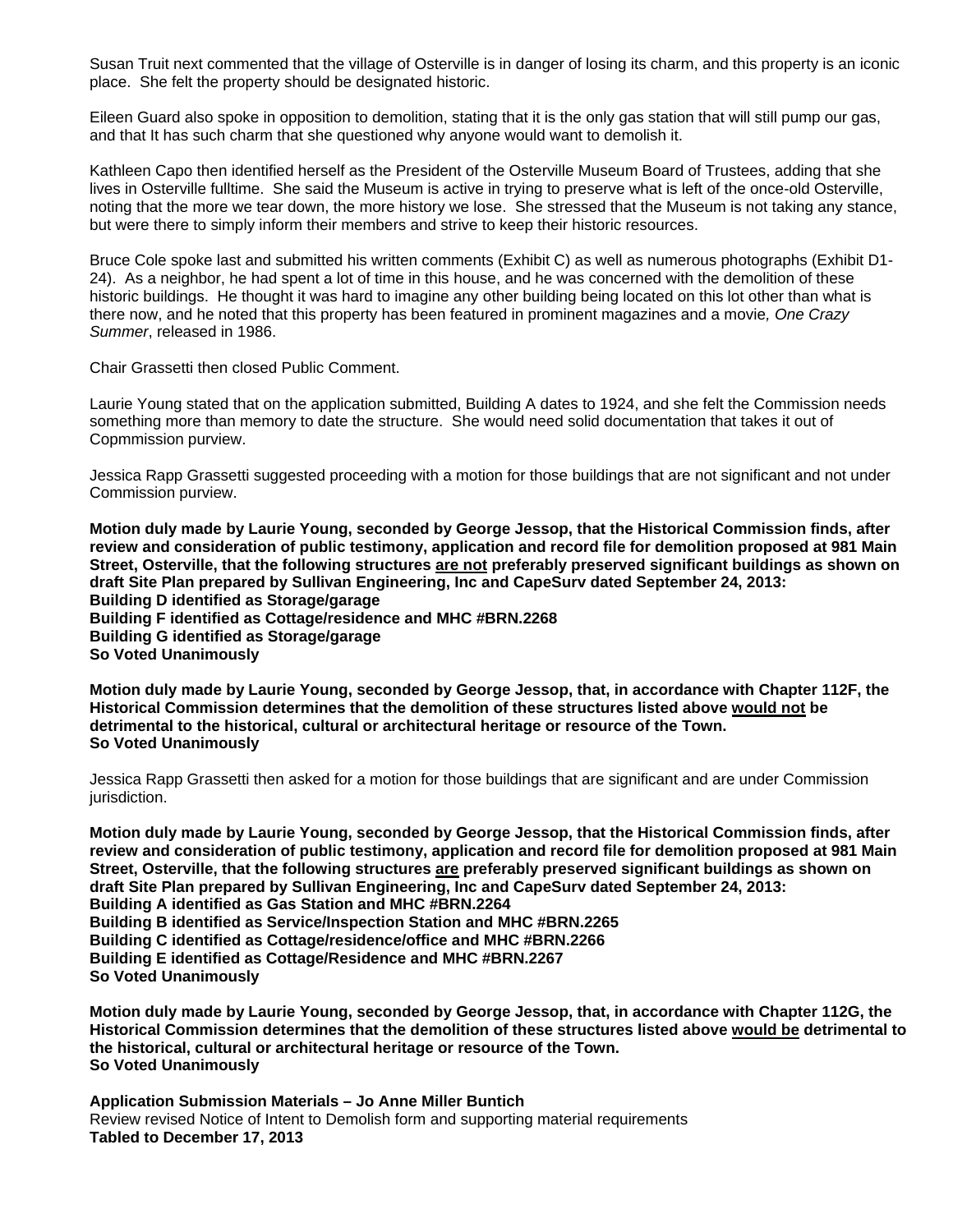Susan Truit next commented that the village of Osterville is in danger of losing its charm, and this property is an iconic place. She felt the property should be designated historic.

Eileen Guard also spoke in opposition to demolition, stating that it is the only gas station that will still pump our gas, and that It has such charm that she questioned why anyone would want to demolish it.

Kathleen Capo then identified herself as the President of the Osterville Museum Board of Trustees, adding that she lives in Osterville fulltime. She said the Museum is active in trying to preserve what is left of the once-old Osterville, noting that the more we tear down, the more history we lose. She stressed that the Museum is not taking any stance, but were there to simply inform their members and strive to keep their historic resources.

Bruce Cole spoke last and submitted his written comments (Exhibit C) as well as numerous photographs (Exhibit D1- 24). As a neighbor, he had spent a lot of time in this house, and he was concerned with the demolition of these historic buildings. He thought it was hard to imagine any other building being located on this lot other than what is there now, and he noted that this property has been featured in prominent magazines and a movie*, One Crazy Summer*, released in 1986.

Chair Grassetti then closed Public Comment.

Laurie Young stated that on the application submitted, Building A dates to 1924, and she felt the Commission needs something more than memory to date the structure. She would need solid documentation that takes it out of Copmmission purview.

Jessica Rapp Grassetti suggested proceeding with a motion for those buildings that are not significant and not under Commission purview.

**Motion duly made by Laurie Young, seconded by George Jessop, that the Historical Commission finds, after review and consideration of public testimony, application and record file for demolition proposed at 981 Main Street, Osterville, that the following structures are not preferably preserved significant buildings as shown on draft Site Plan prepared by Sullivan Engineering, Inc and CapeSurv dated September 24, 2013: Building D identified as Storage/garage Building F identified as Cottage/residence and MHC #BRN.2268 Building G identified as Storage/garage So Voted Unanimously** 

**Motion duly made by Laurie Young, seconded by George Jessop, that, in accordance with Chapter 112F, the Historical Commission determines that the demolition of these structures listed above would not be detrimental to the historical, cultural or architectural heritage or resource of the Town. So Voted Unanimously** 

Jessica Rapp Grassetti then asked for a motion for those buildings that are significant and are under Commission jurisdiction.

**Motion duly made by Laurie Young, seconded by George Jessop, that the Historical Commission finds, after review and consideration of public testimony, application and record file for demolition proposed at 981 Main Street, Osterville, that the following structures are preferably preserved significant buildings as shown on draft Site Plan prepared by Sullivan Engineering, Inc and CapeSurv dated September 24, 2013: Building A identified as Gas Station and MHC #BRN.2264 Building B identified as Service/Inspection Station and MHC #BRN.2265 Building C identified as Cottage/residence/office and MHC #BRN.2266 Building E identified as Cottage/Residence and MHC #BRN.2267 So Voted Unanimously** 

**Motion duly made by Laurie Young, seconded by George Jessop, that, in accordance with Chapter 112G, the Historical Commission determines that the demolition of these structures listed above would be detrimental to the historical, cultural or architectural heritage or resource of the Town. So Voted Unanimously** 

**Application Submission Materials – Jo Anne Miller Buntich**  Review revised Notice of Intent to Demolish form and supporting material requirements **Tabled to December 17, 2013**